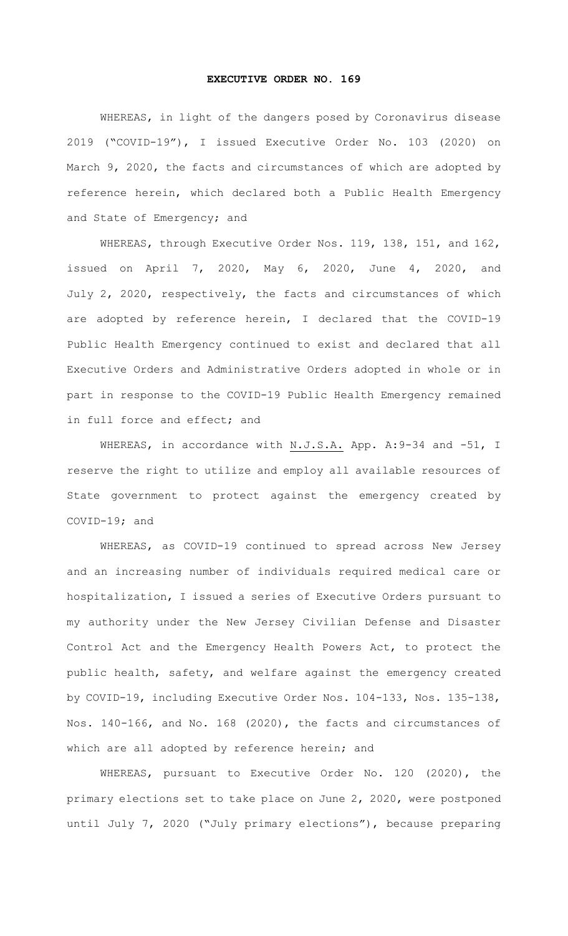## **EXECUTIVE ORDER NO. 169**

WHEREAS, in light of the dangers posed by Coronavirus disease 2019 ("COVID-19"), I issued Executive Order No. 103 (2020) on March 9, 2020, the facts and circumstances of which are adopted by reference herein, which declared both a Public Health Emergency and State of Emergency; and

WHEREAS, through Executive Order Nos. 119, 138, 151, and 162, issued on April 7, 2020, May 6, 2020, June 4, 2020, and July 2, 2020, respectively, the facts and circumstances of which are adopted by reference herein, I declared that the COVID-19 Public Health Emergency continued to exist and declared that all Executive Orders and Administrative Orders adopted in whole or in part in response to the COVID-19 Public Health Emergency remained in full force and effect; and

WHEREAS, in accordance with N.J.S.A. App. A: 9-34 and -51, I reserve the right to utilize and employ all available resources of State government to protect against the emergency created by COVID-19; and

WHEREAS, as COVID-19 continued to spread across New Jersey and an increasing number of individuals required medical care or hospitalization, I issued a series of Executive Orders pursuant to my authority under the New Jersey Civilian Defense and Disaster Control Act and the Emergency Health Powers Act, to protect the public health, safety, and welfare against the emergency created by COVID-19, including Executive Order Nos. 104-133, Nos. 135-138, Nos. 140-166, and No. 168 (2020), the facts and circumstances of which are all adopted by reference herein; and

WHEREAS, pursuant to Executive Order No. 120 (2020), the primary elections set to take place on June 2, 2020, were postponed until July 7, 2020 ("July primary elections"), because preparing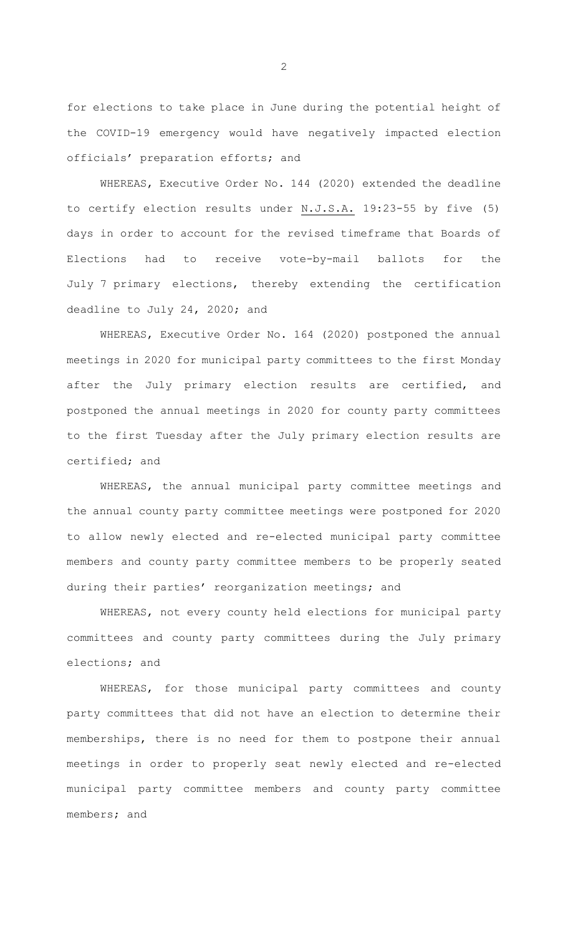for elections to take place in June during the potential height of the COVID-19 emergency would have negatively impacted election officials' preparation efforts; and

WHEREAS, Executive Order No. 144 (2020) extended the deadline to certify election results under N.J.S.A. 19:23-55 by five (5) days in order to account for the revised timeframe that Boards of Elections had to receive vote-by-mail ballots for the July 7 primary elections, thereby extending the certification deadline to July 24, 2020; and

WHEREAS, Executive Order No. 164 (2020) postponed the annual meetings in 2020 for municipal party committees to the first Monday after the July primary election results are certified, and postponed the annual meetings in 2020 for county party committees to the first Tuesday after the July primary election results are certified; and

WHEREAS, the annual municipal party committee meetings and the annual county party committee meetings were postponed for 2020 to allow newly elected and re-elected municipal party committee members and county party committee members to be properly seated during their parties' reorganization meetings; and

WHEREAS, not every county held elections for municipal party committees and county party committees during the July primary elections; and

WHEREAS, for those municipal party committees and county party committees that did not have an election to determine their memberships, there is no need for them to postpone their annual meetings in order to properly seat newly elected and re-elected municipal party committee members and county party committee members; and

2